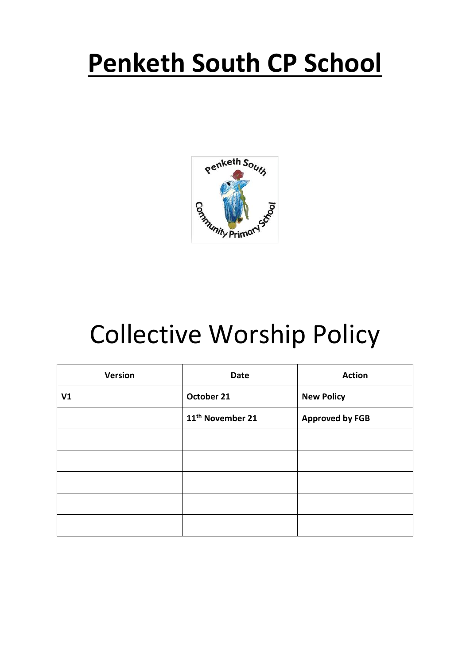# **Penketh South CP School**



# Collective Worship Policy

| <b>Version</b> | <b>Date</b>                  | <b>Action</b>          |
|----------------|------------------------------|------------------------|
| V <sub>1</sub> | October 21                   | <b>New Policy</b>      |
|                | 11 <sup>th</sup> November 21 | <b>Approved by FGB</b> |
|                |                              |                        |
|                |                              |                        |
|                |                              |                        |
|                |                              |                        |
|                |                              |                        |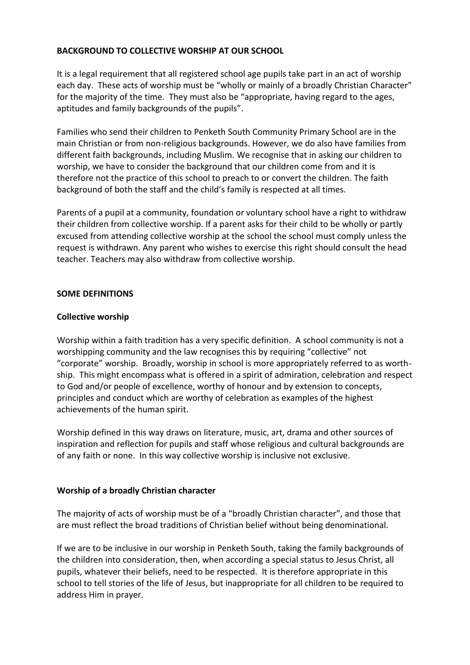# **BACKGROUND TO COLLECTIVE WORSHIP AT OUR SCHOOL**

It is a legal requirement that all registered school age pupils take part in an act of worship each day. These acts of worship must be "wholly or mainly of a broadly Christian Character" for the majority of the time. They must also be "appropriate, having regard to the ages, aptitudes and family backgrounds of the pupils".

Families who send their children to Penketh South Community Primary School are in the main Christian or from non-religious backgrounds. However, we do also have families from different faith backgrounds, including Muslim. We recognise that in asking our children to worship, we have to consider the background that our children come from and it is therefore not the practice of this school to preach to or convert the children. The faith background of both the staff and the child's family is respected at all times.

Parents of a pupil at a community, foundation or voluntary school have a right to withdraw their children from collective worship. If a parent asks for their child to be wholly or partly excused from attending collective worship at the school the school must comply unless the request is withdrawn. Any parent who wishes to exercise this right should consult the head teacher. Teachers may also withdraw from collective worship.

## **SOME DEFINITIONS**

### **Collective worship**

Worship within a faith tradition has a very specific definition. A school community is not a worshipping community and the law recognises this by requiring "collective" not "corporate" worship. Broadly, worship in school is more appropriately referred to as worthship. This might encompass what is offered in a spirit of admiration, celebration and respect to God and/or people of excellence, worthy of honour and by extension to concepts, principles and conduct which are worthy of celebration as examples of the highest achievements of the human spirit.

Worship defined in this way draws on literature, music, art, drama and other sources of inspiration and reflection for pupils and staff whose religious and cultural backgrounds are of any faith or none. In this way collective worship is inclusive not exclusive.

## **Worship of a broadly Christian character**

The majority of acts of worship must be of a "broadly Christian character", and those that are must reflect the broad traditions of Christian belief without being denominational.

If we are to be inclusive in our worship in Penketh South, taking the family backgrounds of the children into consideration, then, when according a special status to Jesus Christ, all pupils, whatever their beliefs, need to be respected. It is therefore appropriate in this school to tell stories of the life of Jesus, but inappropriate for all children to be required to address Him in prayer.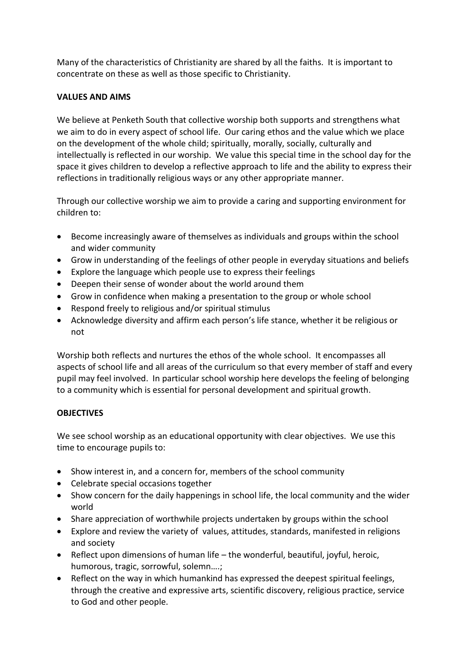Many of the characteristics of Christianity are shared by all the faiths. It is important to concentrate on these as well as those specific to Christianity.

# **VALUES AND AIMS**

We believe at Penketh South that collective worship both supports and strengthens what we aim to do in every aspect of school life. Our caring ethos and the value which we place on the development of the whole child; spiritually, morally, socially, culturally and intellectually is reflected in our worship. We value this special time in the school day for the space it gives children to develop a reflective approach to life and the ability to express their reflections in traditionally religious ways or any other appropriate manner.

Through our collective worship we aim to provide a caring and supporting environment for children to:

- Become increasingly aware of themselves as individuals and groups within the school and wider community
- Grow in understanding of the feelings of other people in everyday situations and beliefs
- Explore the language which people use to express their feelings
- Deepen their sense of wonder about the world around them
- Grow in confidence when making a presentation to the group or whole school
- Respond freely to religious and/or spiritual stimulus
- Acknowledge diversity and affirm each person's life stance, whether it be religious or not

Worship both reflects and nurtures the ethos of the whole school. It encompasses all aspects of school life and all areas of the curriculum so that every member of staff and every pupil may feel involved. In particular school worship here develops the feeling of belonging to a community which is essential for personal development and spiritual growth.

# **OBJECTIVES**

We see school worship as an educational opportunity with clear objectives. We use this time to encourage pupils to:

- Show interest in, and a concern for, members of the school community
- Celebrate special occasions together
- Show concern for the daily happenings in school life, the local community and the wider world
- Share appreciation of worthwhile projects undertaken by groups within the school
- Explore and review the variety of values, attitudes, standards, manifested in religions and society
- Reflect upon dimensions of human life the wonderful, beautiful, joyful, heroic, humorous, tragic, sorrowful, solemn….;
- Reflect on the way in which humankind has expressed the deepest spiritual feelings, through the creative and expressive arts, scientific discovery, religious practice, service to God and other people.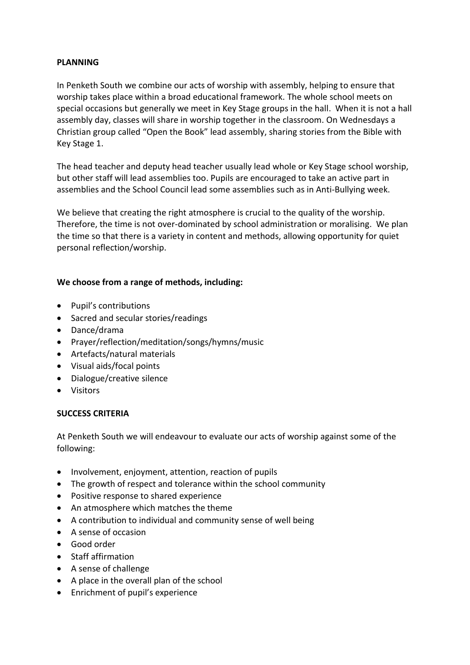# **PLANNING**

In Penketh South we combine our acts of worship with assembly, helping to ensure that worship takes place within a broad educational framework. The whole school meets on special occasions but generally we meet in Key Stage groups in the hall. When it is not a hall assembly day, classes will share in worship together in the classroom. On Wednesdays a Christian group called "Open the Book" lead assembly, sharing stories from the Bible with Key Stage 1.

The head teacher and deputy head teacher usually lead whole or Key Stage school worship, but other staff will lead assemblies too. Pupils are encouraged to take an active part in assemblies and the School Council lead some assemblies such as in Anti-Bullying week.

We believe that creating the right atmosphere is crucial to the quality of the worship. Therefore, the time is not over-dominated by school administration or moralising. We plan the time so that there is a variety in content and methods, allowing opportunity for quiet personal reflection/worship.

# **We choose from a range of methods, including:**

- Pupil's contributions
- Sacred and secular stories/readings
- Dance/drama
- Prayer/reflection/meditation/songs/hymns/music
- Artefacts/natural materials
- Visual aids/focal points
- Dialogue/creative silence
- Visitors

## **SUCCESS CRITERIA**

At Penketh South we will endeavour to evaluate our acts of worship against some of the following:

- Involvement, enjoyment, attention, reaction of pupils
- The growth of respect and tolerance within the school community
- Positive response to shared experience
- An atmosphere which matches the theme
- A contribution to individual and community sense of well being
- A sense of occasion
- Good order
- Staff affirmation
- A sense of challenge
- A place in the overall plan of the school
- Enrichment of pupil's experience